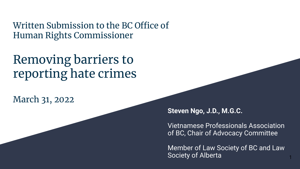Written Submission to the BC Office of Human Rights Commissioner

#### Removing barriers to reporting hate crimes

March 31, 2022

**Steven Ngo, J.D., M.G.C.**

Vietnamese Professionals Association of BC, Chair of Advocacy Committee

Member of Law Society of BC and Law Society of Alberta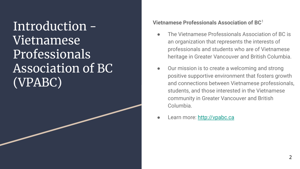Introduction - Vietnamese Professionals Association of BC (VPABC)

#### **Vietnamese Professionals Association of BC**<sup>1</sup>

- The Vietnamese Professionals Association of BC is an organization that represents the interests of professionals and students who are of Vietnamese heritage in Greater Vancouver and British Columbia.
- Our mission is to create a welcoming and strong positive supportive environment that fosters growth and connections between Vietnamese professionals, students, and those interested in the Vietnamese community in Greater Vancouver and British Columbia.
- Learn more: <http://vpabc.ca>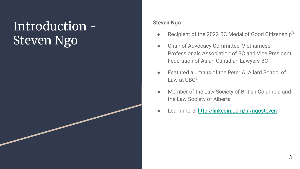## Introduction - Steven Ngo

#### **Steven Ngo**

- Recipient of the 2022 BC Medal of Good Citizenship<sup>3</sup>
- Chair of Advocacy Committee, Vietnamese Professionals Association of BC and Vice President, Federation of Asian Canadian Lawyers BC
- Featured alumnus of the Peter A. Allard School of Law at  $UBC<sup>2</sup>$
- Member of the Law Society of British Columbia and the Law Society of Alberta
- Learn more: <http://linkedin.com/in/ngosteven>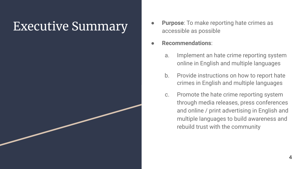- **Executive Summary •** Purpose: To make reporting hate crimes as accessible as possible
	- **Recommendations**:
		- a. Implement an hate crime reporting system online in English and multiple languages
		- b. Provide instructions on how to report hate crimes in English and multiple languages
		- c. Promote the hate crime reporting system through media releases, press conferences and online / print advertising in English and multiple languages to build awareness and rebuild trust with the community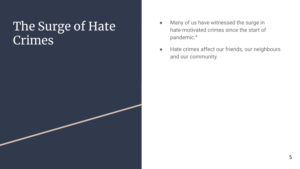#### The Surge of Hate Crimes

- Many of us have witnessed the surge in hate-motivated crimes since the start of pandemic.<sup>4</sup>
- Hate crimes affect our friends, our neighbours and our community.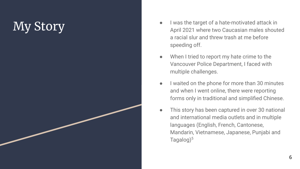## My Story

- I was the target of a hate-motivated attack in April 2021 where two Caucasian males shouted a racial slur and threw trash at me before speeding off.
- When I tried to report my hate crime to the Vancouver Police Department, I faced with multiple challenges.
- I waited on the phone for more than 30 minutes and when I went online, there were reporting forms only in traditional and simplified Chinese.
- This story has been captured in over 30 national and international media outlets and in multiple languages (English, French, Cantonese, Mandarin, Vietnamese, Japanese, Punjabi and Tagalog $)^5$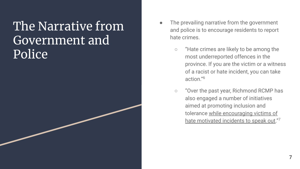#### The Narrative from Government and Police

- The prevailing narrative from the government and police is to encourage residents to report hate crimes.
	- "Hate crimes are likely to be among the most underreported offences in the province. If you are the victim or a witness of a racist or hate incident, you can take action."<sup>6</sup>
	- "Over the past year, Richmond RCMP has also engaged a number of initiatives aimed at promoting inclusion and tolerance while encouraging victims of hate motivated incidents to speak out."<sup>7</sup>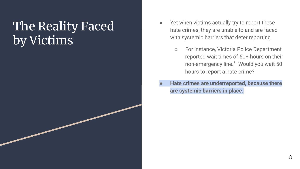## The Reality Faced by Victims

- Yet when victims actually try to report these hate crimes, they are unable to and are faced with systemic barriers that deter reporting.
	- For instance, Victoria Police Department reported wait times of 50+ hours on their non-emergency line.<sup>8</sup> Would you wait 50 hours to report a hate crime?
- **● Hate crimes are underreported, because there are systemic barriers in place.**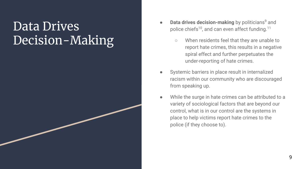#### Data Drives Decision-Making

- **Data drives decision-making** by politicians<sup>9</sup> and police chiefs<sup>10</sup>, and can even affect funding.<sup>11</sup>
	- When residents feel that they are unable to report hate crimes, this results in a negative spiral effect and further perpetuates the under-reporting of hate crimes.
- Systemic barriers in place result in internalized racism within our community who are discouraged from speaking up.
- While the surge in hate crimes can be attributed to a variety of sociological factors that are beyond our control, what is in our control are the systems in place to help victims report hate crimes to the police (if they choose to).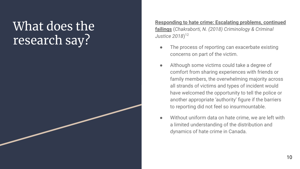## What does the research say?

**[Responding to hate crime: Escalating problems, continued](https://drive.google.com/drive/folders/1WiQ0Vyy6inc0DOZjD3he4e0rJMYZDtO2?usp=sharing) [failings](https://drive.google.com/drive/folders/1WiQ0Vyy6inc0DOZjD3he4e0rJMYZDtO2?usp=sharing)** (*Chakraborti, N. (2018) Criminology & Criminal Justice 2018*) 12

- The process of reporting can exacerbate existing concerns on part of the victim.
- Although some victims could take a degree of comfort from sharing experiences with friends or family members, the overwhelming majority across all strands of victims and types of incident would have welcomed the opportunity to tell the police or another appropriate 'authority' figure if the barriers to reporting did not feel so insurmountable.
- Without uniform data on hate crime, we are left with a limited understanding of the distribution and dynamics of hate crime in Canada.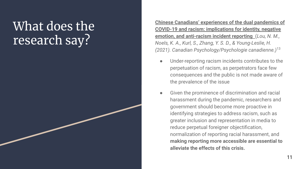## What does the research say?

**[Chinese Canadians' experiences of the dual pandemics of](https://drive.google.com/file/d/1h5zneV5GMwe1A01zpHfuyU8pI2utR4YI/view?usp=sharing) [COVID-19 and racism: implications for identity, negative](https://drive.google.com/file/d/1h5zneV5GMwe1A01zpHfuyU8pI2utR4YI/view?usp=sharing) [emotion, and anti-racism incident reporting](https://drive.google.com/file/d/1h5zneV5GMwe1A01zpHfuyU8pI2utR4YI/view?usp=sharing)** (*Lou, N. M., Noels, K. A., Kurl, S., Zhang, Y. S. D., & Young-Leslie, H. (2021). Canadian Psychology/Psychologie canadienne.)*<sup>13</sup>

- Under-reporting racism incidents contributes to the perpetuation of racism, as perpetrators face few consequences and the public is not made aware of the prevalence of the issue
- **●** Given the prominence of discrimination and racial harassment during the pandemic, researchers and government should become more proactive in identifying strategies to address racism, such as greater inclusion and representation in media to reduce perpetual foreigner objectification, normalization of reporting racial harassment, and **making reporting more accessible are essential to alleviate the effects of this crisis.**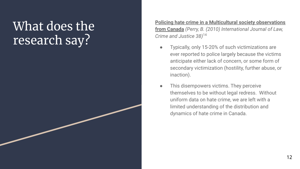## What does the research say?

**[Policing hate crime in a Multicultural society observations](https://drive.google.com/drive/folders/1WiQ0Vyy6inc0DOZjD3he4e0rJMYZDtO2?usp=sharing) [from Canada](https://drive.google.com/drive/folders/1WiQ0Vyy6inc0DOZjD3he4e0rJMYZDtO2?usp=sharing)** *(Perry, B. (2010) International Journal of Law, Crime and Justice 38)*<sup>14</sup>

- Typically, only 15-20% of such victimizations are ever reported to police largely because the victims anticipate either lack of concern, or some form of secondary victimization (hostility, further abuse, or inaction).
- This disempowers victims. They perceive themselves to be without legal redress. Without uniform data on hate crime, we are left with a limited understanding of the distribution and dynamics of hate crime in Canada.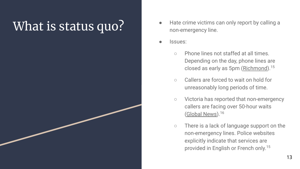- What is status quo? **Altage only report by calling a** hate crime victims can only report by calling a non-emergency line.
	- Issues:
		- Phone lines not staffed at all times. Depending on the day, phone lines are closed as early as 5pm ([Richmond\)](https://www.rcmp-grc.gc.ca/detach/en/d/251).<sup>15</sup>
		- Callers are forced to wait on hold for unreasonably long periods of time.
		- Victoria has reported that non-emergency callers are facing over 50-hour waits ([Global News](https://globalnews.ca/news/8075109/victoria-police-non-emergency-wait-times/)).<sup>16</sup>
		- There is a lack of language support on the non-emergency lines. Police websites explicitly indicate that services are provided in English or French only.<sup>15</sup>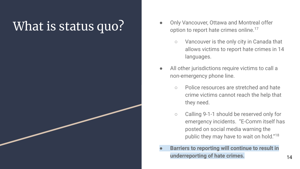- What is status quo? <br> **What is status quo?** <br> **All the Status** online of that eximes online.<sup>17</sup> option to report hate crimes online.<sup>17</sup>
	- Vancouver is the only city in Canada that allows victims to report hate crimes in 14 languages.
	- All other jurisdictions require victims to call a non-emergency phone line.
		- Police resources are stretched and hate crime victims cannot reach the help that they need.
		- Calling 9-1-1 should be reserved only for emergency incidents. "E-Comm itself has posted on social media warning the public they may have to wait on hold."<sup>18</sup>
	- **● Barriers to reporting will continue to result in underreporting of hate crimes.** The matter of the state of the state of the state of the state of the state of the state of the state of the state of the state of the state of the state of the state of the state of the st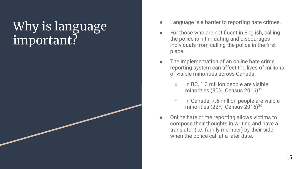## Why is language important?

- Language is a barrier to reporting hate crimes.
- For those who are not fluent in English, calling the police is intimidating and discourages individuals from calling the police in the first place.
- The implementation of an online hate crime reporting system can affect the lives of millions of visible minorities across Canada.
	- In BC, 1.3 million people are visible minorities (30%; Census 2016)<sup>19</sup>
	- In Canada, 7.6 million people are visible minorities (22%; Census 2016)<sup>20</sup>
- Online hate crime reporting allows victims to compose their thoughts in writing and have a translator (i.e. family member) by their side when the police call at a later date.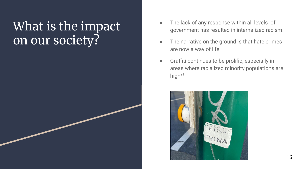#### What is the impact on our society?

- The lack of any response within all levels of government has resulted in internalized racism.
- The narrative on the ground is that hate crimes are now a way of life.
- Graffiti continues to be prolific, especially in areas where racialized minority populations are high $21$

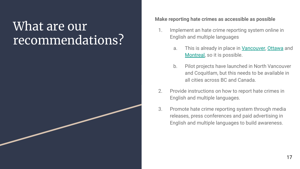#### What are our recommendations?

#### **Make reporting hate crimes as accessible as possible**

- 1. Implement an hate crime reporting system online in English and multiple languages
	- a. This is already in place in [Vancouver,](https://vpd.ca/report-a-crime/) [Ottawa](https://www.ottawapolice.ca/en/safety-and-crime-prevention/hate-motivated-incidents.aspx) and [Montreal](https://spvm.qc.ca/en/Fiches/Details/Hate-Crimes-and-Hate-Incidents), so it is possible.
	- b. Pilot projects have launched in North Vancouver and Coquitlam, but this needs to be available in all cities across BC and Canada.
- 2. Provide instructions on how to report hate crimes in English and multiple languages.
- 3. Promote hate crime reporting system through media releases, press conferences and paid advertising in English and multiple languages to build awareness.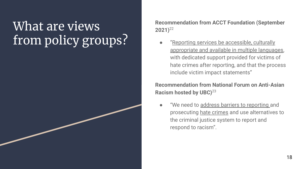## What are views from policy groups?

**Recommendation from ACCT Foundation (September 2021)**<sup>22</sup>

"Reporting services be accessible, culturally appropriate and available in multiple languages, with dedicated support provided for victims of hate crimes after reporting, and that the process include victim impact statements"

#### **Recommendation from National Forum on Anti-Asian Racism hosted by UBC)**<sup>23</sup>

"We need to address barriers to reporting and prosecuting hate crimes and use alternatives to the criminal justice system to report and respond to racism".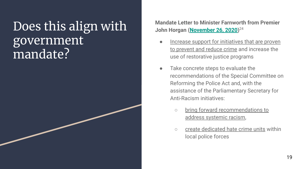## Does this align with government mandate?

**Mandate Letter to Minister Farnworth from Premier John Horgan [\(November 26, 2020](https://www2.gov.bc.ca/assets/gov/government/ministries-organizations/premier-cabinet-mlas/minister-letter/farnworth_mandate_2020.pdf))** 24

- Increase support for initiatives that are proven to prevent and reduce crime and increase the use of restorative justice programs
- Take concrete steps to evaluate the recommendations of the Special Committee on Reforming the Police Act and, with the assistance of the Parliamentary Secretary for Anti-Racism initiatives:
	- bring forward recommendations to address systemic racism,
	- create dedicated hate crime units within local police forces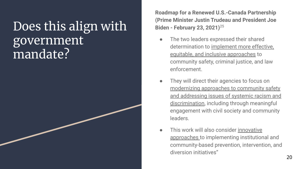## Does this align with government mandate?

**Roadmap for a Renewed U.S.-Canada Partnership (Prime Minister Justin Trudeau and President Joe Biden - February 23, 2021)**<sup>25</sup>

- The two leaders expressed their shared determination to implement more effective, equitable, and inclusive approaches to community safety, criminal justice, and law enforcement.
- They will direct their agencies to focus on modernizing approaches to community safety and addressing issues of systemic racism and discrimination, including through meaningful engagement with civil society and community leaders.
- This work will also consider innovative approaches to implementing institutional and community-based prevention, intervention, and diversion initiatives"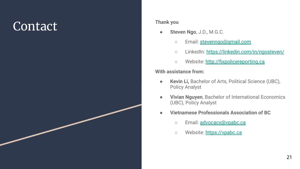## **Contact** Thank you

- **Steven Ngo**, J.D., M.G.C.
	- Email: [stevenngo@gmail.com](mailto:stevenngo@gmail.com)
	- LinkedIn: [https://linkedin.com/in/ngosteven/](https://www.linkedin.com/in/ngosteven/)
	- Website:<http://fixpolicereporting.ca>

#### **With assistance from:**

- **Kevin Li,** Bachelor of Arts, Political Science (UBC), Policy Analyst
- **Vivian Nguyen**, Bachelor of International Economics (UBC), Policy Analyst
- **Vietnamese Professionals Association of BC**
	- o Email: [advocacy@vpabc.ca](mailto:advocacy@vpabc.ca)
	- Website: [https://vpabc.ca](http://vpabc.ca)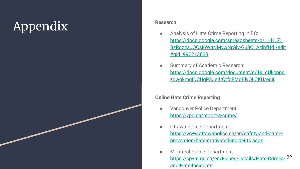# **Appendix** Research

- Analysis of Hate Crime Reporting in BC: [https://docs.google.com/spreadsheets/d/1HHLZL](https://docs.google.com/spreadsheets/d/1HHLZLBzRqz4aJQCsi6WqNMvwNrGlv-Gu8CLAzibfHdI/edit#gid=992213033) [BzRqz4aJQCsi6WqNMvwNrGlv-Gu8CLAzibfHdI/edit](https://docs.google.com/spreadsheets/d/1HHLZLBzRqz4aJQCsi6WqNMvwNrGlv-Gu8CLAzibfHdI/edit#gid=992213033) [#gid=992213033](https://docs.google.com/spreadsheets/d/1HHLZLBzRqz4aJQCsi6WqNMvwNrGlv-Gu8CLAzibfHdI/edit#gid=992213033)
- Summary of Academic Research: [https://docs.google.com/document/d/1kLqUkcppd](https://docs.google.com/document/d/1kLqUkcppdzdwokmqIDCUgP3JerlrQtfqFMqBlvQLCKU/edit) [zdwokmqIDCUgP3JerlrQtfqFMqBlvQLCKU/edit](https://docs.google.com/document/d/1kLqUkcppdzdwokmqIDCUgP3JerlrQtfqFMqBlvQLCKU/edit)

#### **Online Hate Crime Reporting**

- Vancouver Police Department: <https://vpd.ca/report-a-crime/>
- Ottawa Police Department: [https://www.ottawapolice.ca/en/safety-and-crime](https://www.ottawapolice.ca/en/safety-and-crime-prevention/hate-motivated-incidents.aspx)[prevention/hate-motivated-incidents.aspx](https://www.ottawapolice.ca/en/safety-and-crime-prevention/hate-motivated-incidents.aspx)
- Montreal Police Department: [https://spvm.qc.ca/en/Fiches/Details/Hate-Crimes-](https://spvm.qc.ca/en/Fiches/Details/Hate-Crimes-and-Hate-Incidents)22[and-Hate-Incidents](https://spvm.qc.ca/en/Fiches/Details/Hate-Crimes-and-Hate-Incidents)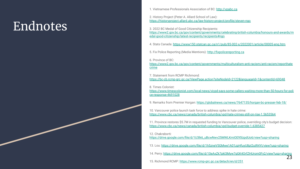## Endnotes

1. Vietnamese Professionals Association of BC: <http://vpabc.ca>

2. History Project (Peter A. Allard School of Law): <https://historyproject.allard.ubc.ca/law-history-project/profile/steven-ngo>

3. 2022 BC Medal of Good Citizenship Recipients: [https://www2.gov.bc.ca/gov/content/governments/celebrating-british-columbia/honours-and-awards/m](https://www2.gov.bc.ca/gov/content/governments/celebrating-british-columbia/honours-and-awards/medal-good-citizenship/latest-recipients/recipients#ngo) [edal-good-citizenship/latest-recipients/recipients#ngo](https://www2.gov.bc.ca/gov/content/governments/celebrating-british-columbia/honours-and-awards/medal-good-citizenship/latest-recipients/recipients#ngo)

4. Stats Canada:<https://www150.statcan.gc.ca/n1/pub/85-002-x/2022001/article/00005-eng.htm>

5. Fix Police Reporting (Media Mentions): <http://fixpolicereporting.ca>

6. Province of BC:

[https://www2.gov.bc.ca/gov/content/governments/multiculturalism-anti-racism/anti-racism/reporthate](https://www2.gov.bc.ca/gov/content/governments/multiculturalism-anti-racism/anti-racism/reporthatecrime) [crime](https://www2.gov.bc.ca/gov/content/governments/multiculturalism-anti-racism/anti-racism/reporthatecrime)

7. Statement from RCMP Richmond: <https://bc-cb.rcmp-grc.gc.ca/ViewPage.action?siteNodeId=2122&languageId=1&contentId=69048>

8. Times Colonist:

[https://www.timescolonist.com/local-news/vicpd-says-some-callers-waiting-more-than-50-hours-for-poli](https://www.timescolonist.com/local-news/vicpd-says-some-callers-waiting-more-than-50-hours-for-police-response-4691028) [ce-response-4691028](https://www.timescolonist.com/local-news/vicpd-says-some-callers-waiting-more-than-50-hours-for-police-response-4691028)

9. Remarks from Premier Horgan:<https://globalnews.ca/news/7647135/horgan-bc-presser-feb-18/>

10. Vancouver police launch task force to address spike in hate crime: <https://www.cbc.ca/news/canada/british-columbia/vpd-hate-crimes-still-on-rise-1.5653564>

11. Province restores \$5.7M in requested funding to Vancouver police, overriding city's budget decision: <https://www.cbc.ca/news/canada/british-columbia/vpd-budget-override-1.6385427>

12. Chakraborti:

[https://drive.google.com/file/d/1U3lk6\\_uBcwNwv25MWLKmiOE95lzpdUo6/view?usp=sharing](https://drive.google.com/file/d/1U3lk6_uBcwNwv25MWLKmiOE95lzpdUo6/view?usp=sharing)

13. Lou:<https://drive.google.com/file/d/1h5zneV5GMwe1A01zpHfuyU8pI2utR4YI/view?usp=sharing>

14. Perry:<https://drive.google.com/file/d/10eAxZk7pkl3Myw7gGK4OrfZHUrom0Fy2/view?usp=sharing> 23

15. Richmond RCMP:<https://www.rcmp-grc.gc.ca/detach/en/d/251>